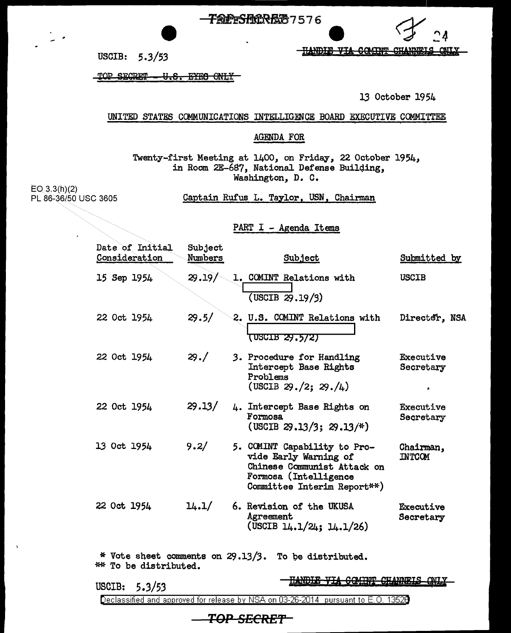<del>TRIPESHORE</del>57576

USCIB:  $5.3/53$ 

<del>HANDIE VIA COMINT</del>

TOP SECRET - U.S. EYES ONLY

13 October 1954

#### UNITED STATES COMMUNICATIONS INTELLIGENCE BOARD EXECUTIVE COMMITTEE

#### **AGENDA FOR**

Twenty-first Meeting at 1400, on Friday, 22 October 1954, in Room 2E-687, National Defense Building, Washington, D. C.

 $EO.3.3(h)(2)$ PL 86-36/50 USC 3605

Captain Rufus L. Taylor, USN, Chairman

#### PART I - Agenda Items

| Date of Initial<br>Consideration | Subject<br>Numbers | Subject                                                                                                                                      | Submitted by               |
|----------------------------------|--------------------|----------------------------------------------------------------------------------------------------------------------------------------------|----------------------------|
| 15 Sep 1954                      |                    | 29.19 $\mathcal{V}$ 1. COMINT Relations with                                                                                                 | <b>USCIB</b>               |
|                                  |                    | (USCIB 29.19/3)                                                                                                                              |                            |
| 22 Oct 1954                      | 29.5/              | 2. U.S. COMINT Relations with<br>(USCIB 29.5/2)                                                                                              | Director, NSA              |
| 22 Oct 1954                      | 29.7               | 3. Procedure for Handling<br>Intercept Base Rights<br>Problems<br>(USCIB 29.2; 29.4)                                                         | Executive<br>Secretary     |
| 22 Oct 1954                      | 29.13/             | 4. Intercept Base Rights on<br><b>Formosa</b><br>(USCIB 29.13/3; 29.13/*)                                                                    | Executive<br>Secretary     |
| 13 Oct 1954                      | 9.2/               | 5. COMINT Capability to Pro-<br>vide Early Warning of<br>Chinese Communist Attack on<br>Formosa (Intelligence<br>Committee Interim Report**) | Chairman,<br><b>INTCOM</b> |
| 22 Oct 1954                      | 14.1/              | 6. Revision of the UKUSA<br>Agreement<br>(USCIB $14.1/24$ ; $14.1/26$ )                                                                      | Executive<br>Secretary     |

\* Vote sheet comments on 29.13/3. To be distributed. \*\* To be distributed.

 $5.3/53$ 

**USCIB:** 

<u>HANDIE VIA COMINT CHANNEIS ONLY</u>

Declassified and approved for release by NSA on 03-26-2014 pursuant to E.O. 13528

# <del>TOP SECRET -</del>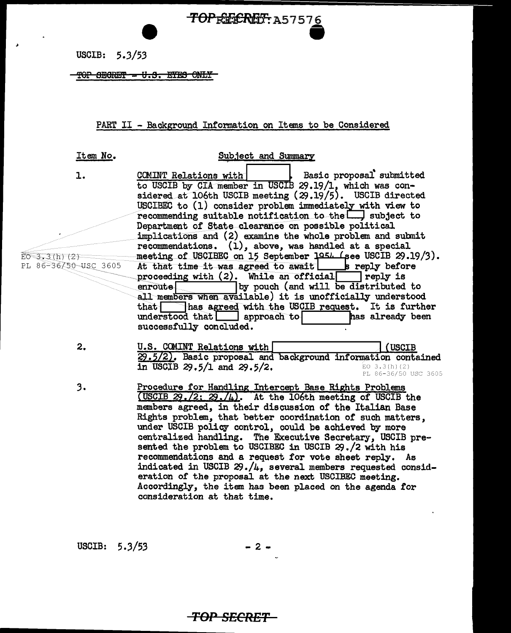TOPEEEREF A57576

USCIB: 5.3/53

<del>TOP SECRET = U.S. EYES ONLY</del>

#### PART II - Background Information on Items to be Considered

Item No. Subject and Summary Basic proposal submitted COMINT Relations with  $\mathbf{1}$ . to USCIB by CIA member in USCIB 29.19/1, which was considered at 106th USCIB meeting (29.19/5). USCIB directed USCIBEC to (1) consider problem immediately with view to recommending suitable notification to the subject to Department of State clearance on possible political implications and (2) examine the whole problem and submit recommendations. (1), above, was handled at a special meeting of USCIBEC on 15 September 1954 (see USCIB 29.19/3).  $E0 = 3.3(h)$  (2) PL 86-36/50-USC 3605 At that time it was agreed to await  $\Box$  is reply before proceeding with  $(2)$ . While an official  $\Box$  reply is enroute by pouch (and will be distributed to all members when available) it is unofficially understood that has agreed with the USCIB request. It is further understood that approach to has already been successfully concluded.

 $2.$ U.S. COMINT Relations with (USCIB 29.5/2). Basic proposal and background information contained  $E_0$  3.3(h)(2) in USCIB  $29.5/1$  and  $29.5/2$ . PL 86-36/50 USC 3605

Procedure for Handling Intercept Base Rights Problems<br>(USCIB 29./2: 29./4). At the 106th meeting of USCIB the  $3.$ members agreed, in their discussion of the Italian Base Rights problem, that better coordination of such matters. under USCIB policy control, could be achieved by more centralized handling. The Executive Secretary, USCIB presented the problem to USCIBEC in USCIB 29./2 with his recommendations and a request for vote sheet reply. As indicated in USCIB 29./4, several members requested consideration of the proposal at the next USCIBEC meeting. Accordingly, the item has been placed on the agenda for consideration at that time.

USCIB:  $5.3/53$ 

- 2 -

## <del>-TOP SECRET-</del>